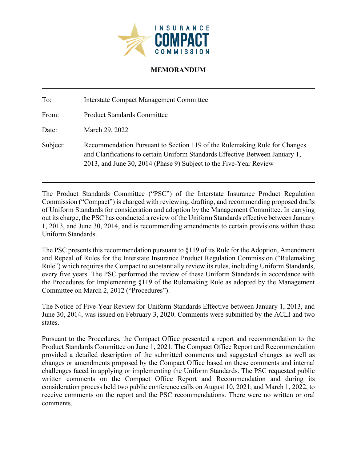

## **MEMORANDUM**

| To:      | <b>Interstate Compact Management Committee</b>                                                                                                                                                                                 |  |
|----------|--------------------------------------------------------------------------------------------------------------------------------------------------------------------------------------------------------------------------------|--|
| From:    | <b>Product Standards Committee</b>                                                                                                                                                                                             |  |
| Date:    | March 29, 2022                                                                                                                                                                                                                 |  |
| Subject: | Recommendation Pursuant to Section 119 of the Rulemaking Rule for Changes<br>and Clarifications to certain Uniform Standards Effective Between January 1,<br>2013, and June 30, 2014 (Phase 9) Subject to the Five-Year Review |  |

The Product Standards Committee ("PSC") of the Interstate Insurance Product Regulation Commission ("Compact") is charged with reviewing, drafting, and recommending proposed drafts of Uniform Standards for consideration and adoption by the Management Committee. In carrying out its charge, the PSC has conducted a review of the Uniform Standards effective between January 1, 2013, and June 30, 2014, and is recommending amendments to certain provisions within these Uniform Standards.

The PSC presents this recommendation pursuant to §119 of its Rule for the Adoption, Amendment and Repeal of Rules for the Interstate Insurance Product Regulation Commission ("Rulemaking Rule") which requires the Compact to substantially review its rules, including Uniform Standards, every five years. The PSC performed the review of these Uniform Standards in accordance with the Procedures for Implementing §119 of the Rulemaking Rule as adopted by the Management Committee on March 2, 2012 ("Procedures").

The Notice of Five-Year Review for Uniform Standards Effective between January 1, 2013, and June 30, 2014, was issued on February 3, 2020. Comments were submitted by the ACLI and two states.

Pursuant to the Procedures, the Compact Office presented a report and recommendation to the Product Standards Committee on June 1, 2021. The Compact Office Report and Recommendation provided a detailed description of the submitted comments and suggested changes as well as changes or amendments proposed by the Compact Office based on these comments and internal challenges faced in applying or implementing the Uniform Standards. The PSC requested public written comments on the Compact Office Report and Recommendation and during its consideration process held two public conference calls on August 10, 2021, and March 1, 2022, to receive comments on the report and the PSC recommendations. There were no written or oral comments.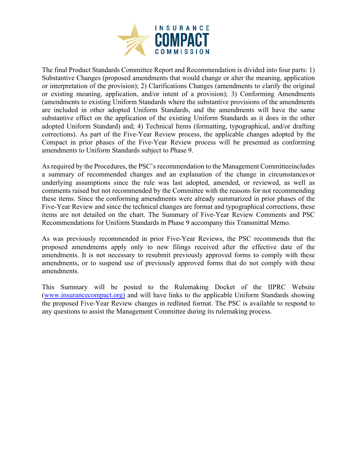

The final Product Standards Committee Report and Recommendation is divided into four parts: 1) Substantive Changes (proposed amendments that would change or alter the meaning, application or interpretation of the provision); 2) Clarifications Changes (amendments to clarify the original or existing meaning, application, and/or intent of a provision); 3) Conforming Amendments (amendments to existing Uniform Standards where the substantive provisions of the amendments are included in other adopted Uniform Standards, and the amendments will have the same substantive effect on the application of the existing Uniform Standards as it does in the other adopted Uniform Standard) and; 4) Technical Items (formatting, typographical, and/or drafting corrections). As part of the Five-Year Review process, the applicable changes adopted by the Compact in prior phases of the Five-Year Review process will be presented as conforming amendments to Uniform Standards subject to Phase 9.

As required by the Procedures, the PSC's recommendation to the Management Committeeincludes a summary of recommended changes and an explanation of the change in circumstancesor underlying assumptions since the rule was last adopted, amended, or reviewed, as well as comments raised but not recommended by the Committee with the reasons for not recommending these items. Since the conforming amendments were already summarized in prior phases of the Five-Year Review and since the technical changes are format and typographical corrections, these items are not detailed on the chart. The Summary of Five-Year Review Comments and PSC Recommendations for Uniform Standards in Phase 9 accompany this Transmittal Memo.

As was previously recommended in prior Five-Year Reviews, the PSC recommends that the proposed amendments apply only to new filings received after the effective date of the amendments. It is not necessary to resubmit previously approved forms to comply with these amendments, or to suspend use of previously approved forms that do not comply with these amendments.

This Summary will be posted to the Rulemaking Docket of the IIPRC Website [\(www.insurancecompact.org\)](http://www.insurancecompact.org/) and will have links to the applicable Uniform Standards showing the proposed Five-Year Review changes in redlined format. The PSC is available to respond to any questions to assist the Management Committee during its rulemaking process.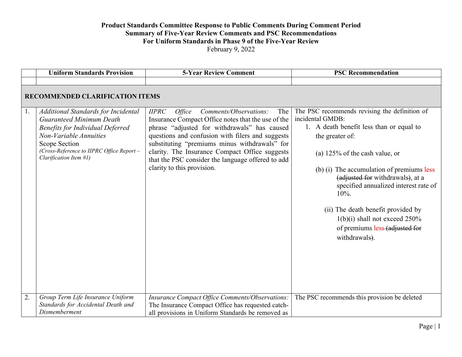## **Product Standards Committee Response to Public Comments During Comment Period Summary of Five-Year Review Comments and PSC Recommendations For Uniform Standards in Phase 9 of the Five-Year Review** February 9, 2022

|    | <b>Uniform Standards Provision</b>                                                                                                                                                                                                         | <b>5-Year Review Comment</b>                                                                                                                                                                                                                                                                                                                                                                            | <b>PSC Recommendation</b>                                                                                                                                                                                                                                                                                                                                                                                                              |  |  |  |  |  |
|----|--------------------------------------------------------------------------------------------------------------------------------------------------------------------------------------------------------------------------------------------|---------------------------------------------------------------------------------------------------------------------------------------------------------------------------------------------------------------------------------------------------------------------------------------------------------------------------------------------------------------------------------------------------------|----------------------------------------------------------------------------------------------------------------------------------------------------------------------------------------------------------------------------------------------------------------------------------------------------------------------------------------------------------------------------------------------------------------------------------------|--|--|--|--|--|
|    |                                                                                                                                                                                                                                            |                                                                                                                                                                                                                                                                                                                                                                                                         |                                                                                                                                                                                                                                                                                                                                                                                                                                        |  |  |  |  |  |
|    | <b>RECOMMENDED CLARIFICATION ITEMS</b>                                                                                                                                                                                                     |                                                                                                                                                                                                                                                                                                                                                                                                         |                                                                                                                                                                                                                                                                                                                                                                                                                                        |  |  |  |  |  |
| 1. | <b>Additional Standards for Incidental</b><br><b>Guaranteed Minimum Death</b><br><b>Benefits for Individual Deferred</b><br>Non-Variable Annuities<br>Scope Section<br>(Cross-Reference to IIPRC Office Report -<br>Clarification Item #1) | Comments/Observations:<br>IIPRC<br>The<br><i>Office</i><br>Insurance Compact Office notes that the use of the<br>phrase "adjusted for withdrawals" has caused<br>questions and confusion with filers and suggests<br>substituting "premiums minus withdrawals" for<br>clarity. The Insurance Compact Office suggests<br>that the PSC consider the language offered to add<br>clarity to this provision. | The PSC recommends revising the definition of<br>incidental GMDB:<br>1. A death benefit less than or equal to<br>the greater of:<br>(a) $125\%$ of the cash value, or<br>(b) (i) The accumulation of premiums less<br>(adjusted for withdrawals), at a<br>specified annualized interest rate of<br>$10%$ .<br>(ii) The death benefit provided by<br>$1(b)(i)$ shall not exceed 250%<br>of premiums less (adjusted for<br>withdrawals). |  |  |  |  |  |
| 2. | Group Term Life Insurance Uniform<br>Standards for Accidental Death and<br>Dismemberment                                                                                                                                                   | Insurance Compact Office Comments/Observations:<br>The Insurance Compact Office has requested catch-<br>all provisions in Uniform Standards be removed as                                                                                                                                                                                                                                               | The PSC recommends this provision be deleted                                                                                                                                                                                                                                                                                                                                                                                           |  |  |  |  |  |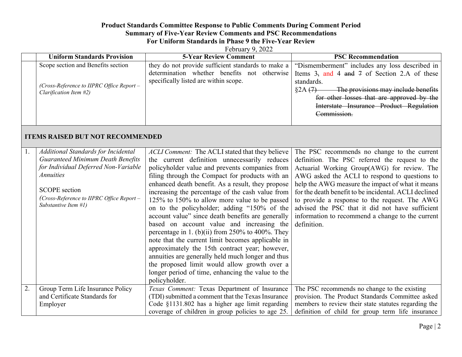## **Product Standards Committee Response to Public Comments During Comment Period Summary of Five-Year Review Comments and PSC Recommendations For Uniform Standards in Phase 9 the Five-Year Review**

February 9, 2022

|    |                                                                                                                                                                                                                                          | $1$ COTUALY 7, $2022$                                                                                                                                                                                                                                                                                                                                                                                                                                                                                                                                                                                                                                                                                                                                                                                                                                    |                                                                                                                                                                                                                                                                                                                                                                                                                                                                                     |  |  |  |
|----|------------------------------------------------------------------------------------------------------------------------------------------------------------------------------------------------------------------------------------------|----------------------------------------------------------------------------------------------------------------------------------------------------------------------------------------------------------------------------------------------------------------------------------------------------------------------------------------------------------------------------------------------------------------------------------------------------------------------------------------------------------------------------------------------------------------------------------------------------------------------------------------------------------------------------------------------------------------------------------------------------------------------------------------------------------------------------------------------------------|-------------------------------------------------------------------------------------------------------------------------------------------------------------------------------------------------------------------------------------------------------------------------------------------------------------------------------------------------------------------------------------------------------------------------------------------------------------------------------------|--|--|--|
|    | <b>Uniform Standards Provision</b>                                                                                                                                                                                                       | <b>5-Year Review Comment</b>                                                                                                                                                                                                                                                                                                                                                                                                                                                                                                                                                                                                                                                                                                                                                                                                                             | <b>PSC</b> Recommendation                                                                                                                                                                                                                                                                                                                                                                                                                                                           |  |  |  |
|    | Scope section and Benefits section<br>(Cross-Reference to IIPRC Office Report -<br>Clarification Item #2)                                                                                                                                | they do not provide sufficient standards to make a<br>determination whether benefits not otherwise<br>specifically listed are within scope.                                                                                                                                                                                                                                                                                                                                                                                                                                                                                                                                                                                                                                                                                                              | "Dismemberment" includes any loss described in<br>Items $3$ , and $4$ and $7$ of Section 2.A of these<br>standards.<br>\$2A (7)<br>The provisions may include benefits<br>for other losses that are approved by the<br>Interstate Insurance Product Regulation<br>Commission.                                                                                                                                                                                                       |  |  |  |
|    | <b>ITEMS RAISED BUT NOT RECOMMENDED</b>                                                                                                                                                                                                  |                                                                                                                                                                                                                                                                                                                                                                                                                                                                                                                                                                                                                                                                                                                                                                                                                                                          |                                                                                                                                                                                                                                                                                                                                                                                                                                                                                     |  |  |  |
| 1. | Additional Standards for Incidental<br><b>Guaranteed Minimum Death Benefits</b><br>for Individual Deferred Non-Variable<br><b>Annuities</b><br><b>SCOPE</b> section<br>(Cross-Reference to IIPRC Office Report -<br>Substantive Item #1) | ACLI Comment: The ACLI stated that they believe<br>the current definition unnecessarily reduces<br>policyholder value and prevents companies from<br>filing through the Compact for products with an<br>enhanced death benefit. As a result, they propose<br>increasing the percentage of the cash value from<br>125% to 150% to allow more value to be passed<br>on to the policyholder; adding "150% of the<br>account value" since death benefits are generally<br>based on account value and increasing the<br>percentage in 1. (b)(ii) from $250\%$ to 400%. They<br>note that the current limit becomes applicable in<br>approximately the 15th contract year; however,<br>annuities are generally held much longer and thus<br>the proposed limit would allow growth over a<br>longer period of time, enhancing the value to the<br>policyholder. | The PSC recommends no change to the current<br>definition. The PSC referred the request to the<br>Actuarial Working Group(AWG) for review. The<br>AWG asked the ACLI to respond to questions to<br>help the AWG measure the impact of what it means<br>for the death benefit to be incidental. ACLI declined<br>to provide a response to the request. The AWG<br>advised the PSC that it did not have sufficient<br>information to recommend a change to the current<br>definition. |  |  |  |
| 2. | Group Term Life Insurance Policy<br>and Certificate Standards for<br>Employer                                                                                                                                                            | Texas Comment: Texas Department of Insurance<br>(TDI) submitted a comment that the Texas Insurance<br>Code §1131.802 has a higher age limit regarding<br>coverage of children in group policies to age 25.                                                                                                                                                                                                                                                                                                                                                                                                                                                                                                                                                                                                                                               | The PSC recommends no change to the existing<br>provision. The Product Standards Committee asked<br>members to review their state statutes regarding the<br>definition of child for group term life insurance                                                                                                                                                                                                                                                                       |  |  |  |